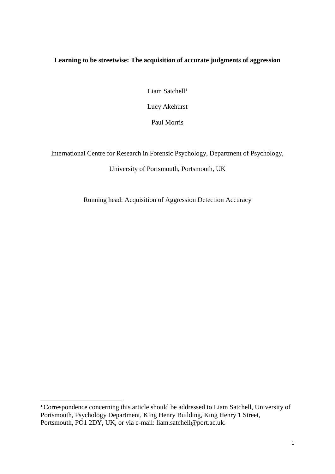# **Learning to be streetwise: The acquisition of accurate judgments of aggression**

Liam Satchell<sup>1</sup>

Lucy Akehurst

Paul Morris

International Centre for Research in Forensic Psychology, Department of Psychology,

## University of Portsmouth, Portsmouth, UK

Running head: Acquisition of Aggression Detection Accuracy

**.** 

<sup>1</sup> Correspondence concerning this article should be addressed to Liam Satchell, University of Portsmouth, Psychology Department, King Henry Building, King Henry 1 Street, Portsmouth, PO1 2DY, UK, or via e-mail: liam.satchell@port.ac.uk.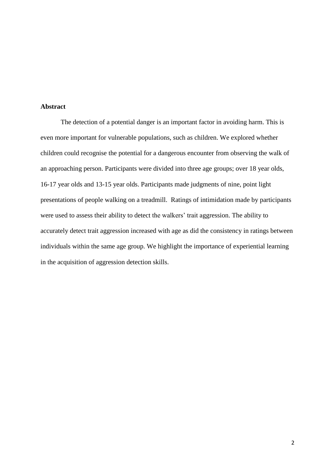## **Abstract**

The detection of a potential danger is an important factor in avoiding harm. This is even more important for vulnerable populations, such as children. We explored whether children could recognise the potential for a dangerous encounter from observing the walk of an approaching person. Participants were divided into three age groups; over 18 year olds, 16-17 year olds and 13-15 year olds. Participants made judgments of nine, point light presentations of people walking on a treadmill. Ratings of intimidation made by participants were used to assess their ability to detect the walkers' trait aggression. The ability to accurately detect trait aggression increased with age as did the consistency in ratings between individuals within the same age group. We highlight the importance of experiential learning in the acquisition of aggression detection skills.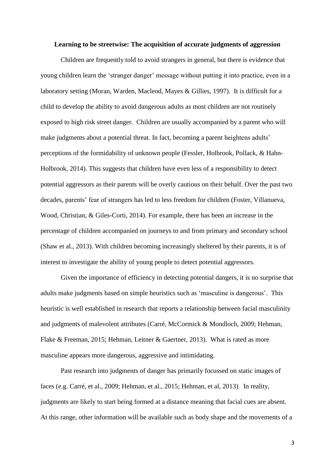#### **Learning to be streetwise: The acquisition of accurate judgments of aggression**

Children are frequently told to avoid strangers in general, but there is evidence that young children learn the 'stranger danger' message without putting it into practice, even in a laboratory setting (Moran, Warden, Macleod, Mayes & Gillies, 1997). It is difficult for a child to develop the ability to avoid dangerous adults as most children are not routinely exposed to high risk street danger. Children are usually accompanied by a parent who will make judgments about a potential threat. In fact, becoming a parent heightens adults' perceptions of the formidability of unknown people (Fessler, Holbrook, Pollack, & Hahn-Holbrook, 2014). This suggests that children have even less of a responsibility to detect potential aggressors as their parents will be overly cautious on their behalf. Over the past two decades, parents' fear of strangers has led to less freedom for children (Foster, Villanueva, Wood, Christian, & Giles-Corti, 2014). For example, there has been an increase in the percentage of children accompanied on journeys to and from primary and secondary school (Shaw et al., 2013). With children becoming increasingly sheltered by their parents, it is of interest to investigate the ability of young people to detect potential aggressors.

Given the importance of efficiency in detecting potential dangers, it is no surprise that adults make judgments based on simple heuristics such as 'masculine is dangerous'. This heuristic is well established in research that reports a relationship between facial masculinity and judgments of malevolent attributes (Carré, McCormick & Mondloch, 2009; Hehman, Flake & Freeman, 2015; Hehman, Leitner & Gaertner, 2013). What is rated as more masculine appears more dangerous, aggressive and intimidating.

Past research into judgments of danger has primarily focussed on static images of faces (e.g. Carré, et al., 2009; Hehman, et al., 2015; Hehman, et al, 2013). In reality, judgments are likely to start being formed at a distance meaning that facial cues are absent. At this range, other information will be available such as body shape and the movements of a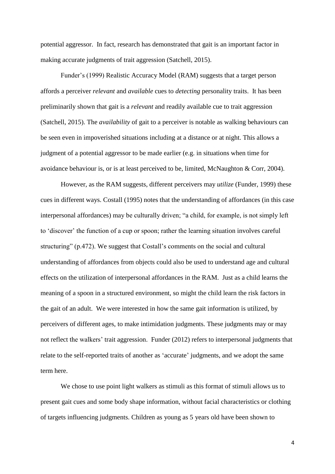potential aggressor. In fact, research has demonstrated that gait is an important factor in making accurate judgments of trait aggression (Satchell, 2015).

Funder's (1999) Realistic Accuracy Model (RAM) suggests that a target person affords a perceiver *relevant* and *available* cues to *detecting* personality traits. It has been preliminarily shown that gait is a *relevant* and readily available cue to trait aggression (Satchell, 2015). The *availability* of gait to a perceiver is notable as walking behaviours can be seen even in impoverished situations including at a distance or at night. This allows a judgment of a potential aggressor to be made earlier (e.g. in situations when time for avoidance behaviour is, or is at least perceived to be, limited, McNaughton & Corr, 2004).

However, as the RAM suggests, different perceivers may *utilize* (Funder, 1999) these cues in different ways. Costall (1995) notes that the understanding of affordances (in this case interpersonal affordances) may be culturally driven; "a child, for example, is not simply left to 'discover' the function of a cup or spoon; rather the learning situation involves careful structuring" (p.472). We suggest that Costall's comments on the social and cultural understanding of affordances from objects could also be used to understand age and cultural effects on the utilization of interpersonal affordances in the RAM. Just as a child learns the meaning of a spoon in a structured environment, so might the child learn the risk factors in the gait of an adult. We were interested in how the same gait information is utilized, by perceivers of different ages, to make intimidation judgments. These judgments may or may not reflect the walkers' trait aggression. Funder (2012) refers to interpersonal judgments that relate to the self-reported traits of another as 'accurate' judgments, and we adopt the same term here.

We chose to use point light walkers as stimuli as this format of stimuli allows us to present gait cues and some body shape information, without facial characteristics or clothing of targets influencing judgments. Children as young as 5 years old have been shown to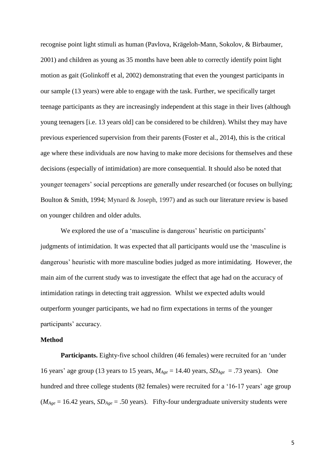recognise point light stimuli as human (Pavlova, Krägeloh-Mann, Sokolov, & Birbaumer, 2001) and children as young as 35 months have been able to correctly identify point light motion as gait (Golinkoff et al, 2002) demonstrating that even the youngest participants in our sample (13 years) were able to engage with the task. Further, we specifically target teenage participants as they are increasingly independent at this stage in their lives (although young teenagers [i.e. 13 years old] can be considered to be children). Whilst they may have previous experienced supervision from their parents (Foster et al., 2014), this is the critical age where these individuals are now having to make more decisions for themselves and these decisions (especially of intimidation) are more consequential. It should also be noted that younger teenagers' social perceptions are generally under researched (or focuses on bullying; Boulton & Smith, 1994; Mynard & Joseph, 1997) and as such our literature review is based on younger children and older adults.

We explored the use of a 'masculine is dangerous' heuristic on participants' judgments of intimidation. It was expected that all participants would use the 'masculine is dangerous' heuristic with more masculine bodies judged as more intimidating. However, the main aim of the current study was to investigate the effect that age had on the accuracy of intimidation ratings in detecting trait aggression. Whilst we expected adults would outperform younger participants, we had no firm expectations in terms of the younger participants' accuracy.

### **Method**

**Participants.** Eighty-five school children (46 females) were recruited for an 'under 16 years' age group (13 years to 15 years,  $M_{Age} = 14.40$  years,  $SD_{Age} = .73$  years). One hundred and three college students (82 females) were recruited for a '16-17 years' age group  $(M<sub>Age</sub> = 16.42 \text{ years}, SD<sub>Age</sub> = .50 \text{ years}).$  Fifty-four undergraduate university students were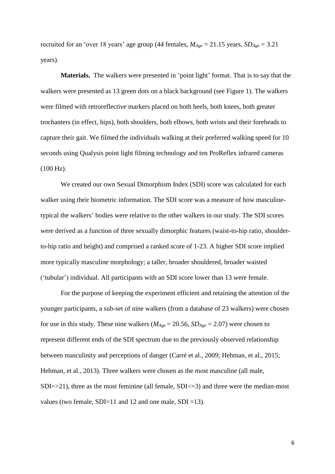recruited for an 'over 18 years' age group (44 females, *MAge* = 21.15 years, *SDAge* = 3.21 years).

**Materials.** The walkers were presented in 'point light' format. That is to say that the walkers were presented as 13 green dots on a black background (see Figure 1). The walkers were filmed with retroreflective markers placed on both heels, both knees, both greater trochanters (in effect, hips), both shoulders, both elbows, both wrists and their foreheads to capture their gait. We filmed the individuals walking at their preferred walking speed for 10 seconds using Qualysis point light filming technology and ten ProReflex infrared cameras (100 Hz).

We created our own Sexual Dimorphism Index (SDI) score was calculated for each walker using their biometric information. The SDI score was a measure of how masculinetypical the walkers' bodies were relative to the other walkers in our study. The SDI scores were derived as a function of three sexually dimorphic features (waist-to-hip ratio, shoulderto-hip ratio and height) and comprised a ranked score of 1-23. A higher SDI score implied more typically masculine morphology; a taller, broader shouldered, broader waisted ('tubular') individual. All participants with an SDI score lower than 13 were female.

For the purpose of keeping the experiment efficient and retaining the attention of the younger participants, a sub-set of nine walkers (from a database of 23 walkers) were chosen for use in this study. These nine walkers ( $M_{Age} = 20.56$ ,  $SD_{Age} = 2.07$ ) were chosen to represent different ends of the SDI spectrum due to the previously observed relationship between masculinity and perceptions of danger (Carré et al., 2009; Hehman, et al., 2015; Hehman, et al., 2013). Three walkers were chosen as the most masculine (all male,  $SDI \Rightarrow 21$ , three as the most feminine (all female,  $SDI \le 3$ ) and three were the median-most values (two female, SDI=11 and 12 and one male, SDI =13).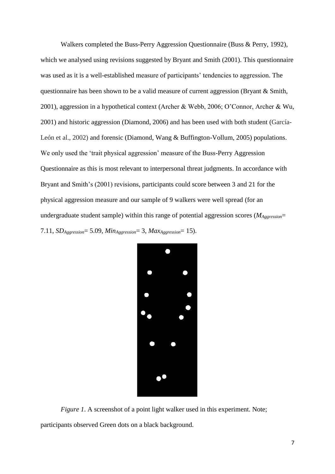Walkers completed the Buss-Perry Aggression Questionnaire (Buss & Perry, 1992), which we analysed using revisions suggested by Bryant and Smith (2001). This questionnaire was used as it is a well-established measure of participants' tendencies to aggression. The questionnaire has been shown to be a valid measure of current aggression (Bryant & Smith, 2001), aggression in a hypothetical context (Archer & Webb, 2006; O'Connor, Archer & Wu, 2001) and historic aggression (Diamond, 2006) and has been used with both student (García-León et al., 2002) and forensic (Diamond, Wang & Buffington-Vollum, 2005) populations. We only used the 'trait physical aggression' measure of the Buss-Perry Aggression Questionnaire as this is most relevant to interpersonal threat judgments. In accordance with Bryant and Smith's (2001) revisions, participants could score between 3 and 21 for the physical aggression measure and our sample of 9 walkers were well spread (for an undergraduate student sample) within this range of potential aggression scores (*MAggression*= 7.11, *SDAggression*= 5.09, *MinAggression*= 3, *MaxAggression*= 15).



*Figure 1.* A screenshot of a point light walker used in this experiment. Note;

participants observed Green dots on a black background.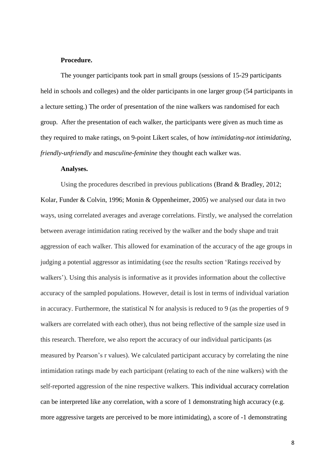### **Procedure.**

The younger participants took part in small groups (sessions of 15-29 participants held in schools and colleges) and the older participants in one larger group (54 participants in a lecture setting.) The order of presentation of the nine walkers was randomised for each group. After the presentation of each walker, the participants were given as much time as they required to make ratings, on 9-point Likert scales, of how *intimidating-not intimidating*, *friendly-unfriendly* and *masculine-feminine* they thought each walker was.

### **Analyses.**

Using the procedures described in previous publications (Brand & Bradley, 2012; Kolar, Funder & Colvin, 1996; Monin & Oppenheimer, 2005) we analysed our data in two ways, using correlated averages and average correlations. Firstly, we analysed the correlation between average intimidation rating received by the walker and the body shape and trait aggression of each walker. This allowed for examination of the accuracy of the age groups in judging a potential aggressor as intimidating (see the results section 'Ratings received by walkers'). Using this analysis is informative as it provides information about the collective accuracy of the sampled populations. However, detail is lost in terms of individual variation in accuracy. Furthermore, the statistical N for analysis is reduced to 9 (as the properties of 9 walkers are correlated with each other), thus not being reflective of the sample size used in this research. Therefore, we also report the accuracy of our individual participants (as measured by Pearson's r values). We calculated participant accuracy by correlating the nine intimidation ratings made by each participant (relating to each of the nine walkers) with the self-reported aggression of the nine respective walkers. This individual accuracy correlation can be interpreted like any correlation, with a score of 1 demonstrating high accuracy (e.g. more aggressive targets are perceived to be more intimidating), a score of -1 demonstrating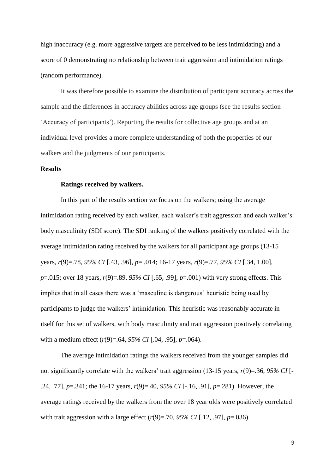high inaccuracy (e.g. more aggressive targets are perceived to be less intimidating) and a score of 0 demonstrating no relationship between trait aggression and intimidation ratings (random performance).

It was therefore possible to examine the distribution of participant accuracy across the sample and the differences in accuracy abilities across age groups (see the results section 'Accuracy of participants'). Reporting the results for collective age groups and at an individual level provides a more complete understanding of both the properties of our walkers and the judgments of our participants.

### **Results**

#### **Ratings received by walkers.**

In this part of the results section we focus on the walkers; using the average intimidation rating received by each walker, each walker's trait aggression and each walker's body masculinity (SDI score). The SDI ranking of the walkers positively correlated with the average intimidation rating received by the walkers for all participant age groups (13-15 years, *r*(9)=.78, *95% CI* [.43, .96], *p*= .014; 16-17 years, *r*(9)=.77, *95% CI* [.34, 1.00], *p*=.015; over 18 years, *r*(9)=.89, *95% CI* [.65, .99], *p*=.001) with very strong effects. This implies that in all cases there was a 'masculine is dangerous' heuristic being used by participants to judge the walkers' intimidation. This heuristic was reasonably accurate in itself for this set of walkers, with body masculinity and trait aggression positively correlating with a medium effect (*r*(9)=.64, *95% CI* [.04, .95], *p*=.064).

The average intimidation ratings the walkers received from the younger samples did not significantly correlate with the walkers' trait aggression (13-15 years, *r*(9)=.36, *95% CI* [- .24, .77], *p*=.341; the 16-17 years, *r*(9)=.40, *95% CI* [-.16, .91], *p*=.281). However, the average ratings received by the walkers from the over 18 year olds were positively correlated with trait aggression with a large effect (*r*(9)=.70, *95% CI* [.12, .97], *p*=.036).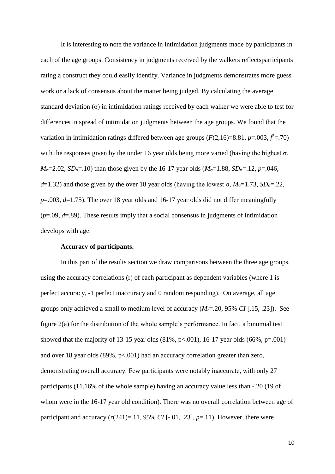It is interesting to note the variance in intimidation judgments made by participants in each of the age groups. Consistency in judgments received by the walkers reflectsparticipants rating a construct they could easily identify. Variance in judgments demonstrates more guess work or a lack of consensus about the matter being judged. By calculating the average standard deviation (σ) in intimidation ratings received by each walker we were able to test for differences in spread of intimidation judgments between the age groups. We found that the variation in intimidation ratings differed between age groups  $(F(2,16)=8.81, p=.003, f=.70)$ with the responses given by the under 16 year olds being more varied (having the highest  $\sigma$ ,  $M_{\sigma}$ =2.02, *SD*<sub>σ</sub>=.10) than those given by the 16-17 year olds ( $M_{\sigma}$ =1.88, *SD*<sub>σ</sub>=.12, *p*=.046,  $d=1.32$ ) and those given by the over 18 year olds (having the lowest  $\sigma$ ,  $M_{\sigma}=1.73$ ,  $SD_{\sigma}=22$ , *p*=.003, *d*=1.75). The over 18 year olds and 16-17 year olds did not differ meaningfully (*p*=.09, *d*=.89). These results imply that a social consensus in judgments of intimidation develops with age.

### **Accuracy of participants.**

In this part of the results section we draw comparisons between the three age groups, using the accuracy correlations (r) of each participant as dependent variables (where 1 is perfect accuracy, -1 perfect inaccuracy and 0 random responding). On average, all age groups only achieved a small to medium level of accuracy (*Mr*=.20, 95% *CI* [.15, .23]). See figure 2(a) for the distribution of the whole sample's performance. In fact, a binomial test showed that the majority of 13-15 year olds  $(81\%, p<.001)$ , 16-17 year olds  $(66\%, p=.001)$ and over 18 year olds (89%, p<.001) had an accuracy correlation greater than zero, demonstrating overall accuracy. Few participants were notably inaccurate, with only 27 participants (11.16% of the whole sample) having an accuracy value less than -.20 (19 of whom were in the 16-17 year old condition). There was no overall correlation between age of participant and accuracy  $(r(241)=.11, 95\% \text{ CI} [-.01, .23], p=.11)$ . However, there were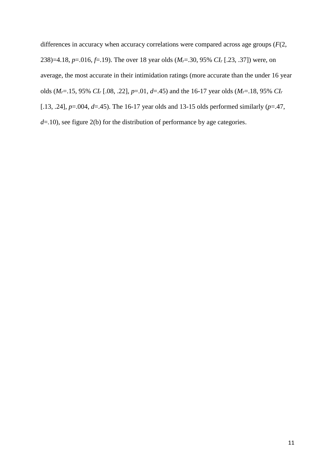differences in accuracy when accuracy correlations were compared across age groups (*F*(2, 238)=4.18, *p*=.016, *f*=.19). The over 18 year olds (*Mr*=.30, 95% *CI<sup>r</sup>* [.23, .37]) were, on average, the most accurate in their intimidation ratings (more accurate than the under 16 year olds (*Mr*=.15, 95% *CI<sup>r</sup>* [.08, .22], *p*=.01, *d*=.45) and the 16-17 year olds (*Mr*=.18, 95% *CI<sup>r</sup>* [.13, .24], *p*=.004, *d*=.45). The 16-17 year olds and 13-15 olds performed similarly (*p*=.47, *d*=.10), see figure 2(b) for the distribution of performance by age categories.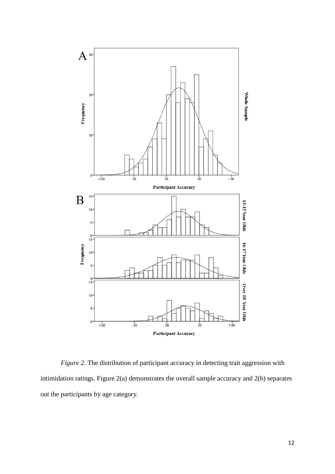

*Figure 2.* The distribution of participant accuracy in detecting trait aggression with intimidation ratings. Figure 2(a) demonstrates the overall sample accuracy and 2(b) separates out the participants by age category.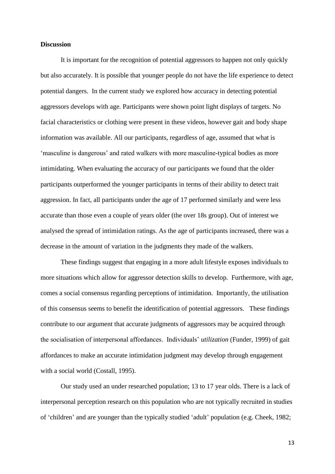### **Discussion**

It is important for the recognition of potential aggressors to happen not only quickly but also accurately. It is possible that younger people do not have the life experience to detect potential dangers. In the current study we explored how accuracy in detecting potential aggressors develops with age. Participants were shown point light displays of targets. No facial characteristics or clothing were present in these videos, however gait and body shape information was available. All our participants, regardless of age, assumed that what is 'masculine is dangerous' and rated walkers with more masculine-typical bodies as more intimidating. When evaluating the accuracy of our participants we found that the older participants outperformed the younger participants in terms of their ability to detect trait aggression. In fact, all participants under the age of 17 performed similarly and were less accurate than those even a couple of years older (the over 18s group). Out of interest we analysed the spread of intimidation ratings. As the age of participants increased, there was a decrease in the amount of variation in the judgments they made of the walkers.

These findings suggest that engaging in a more adult lifestyle exposes individuals to more situations which allow for aggressor detection skills to develop. Furthermore, with age, comes a social consensus regarding perceptions of intimidation. Importantly, the utilisation of this consensus seems to benefit the identification of potential aggressors. These findings contribute to our argument that accurate judgments of aggressors may be acquired through the socialisation of interpersonal affordances. Individuals' *utilization* (Funder, 1999) of gait affordances to make an accurate intimidation judgment may develop through engagement with a social world (Costall, 1995).

Our study used an under researched population; 13 to 17 year olds. There is a lack of interpersonal perception research on this population who are not typically recruited in studies of 'children' and are younger than the typically studied 'adult' population (e.g. Cheek, 1982;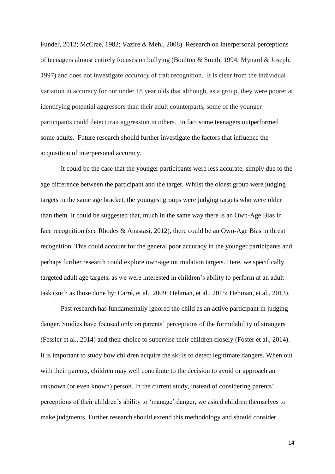Funder, 2012; McCrae, 1982; Vazire & Mehl, 2008). Research on interpersonal perceptions of teenagers almost entirely focuses on bullying (Boulton & Smith, 1994; Mynard & Joseph, 1997) and does not investigate *accuracy* of trait recognition. It is clear from the individual variation in accuracy for our under 18 year olds that although, as a group, they were poorer at identifying potential aggressors than their adult counterparts, some of the younger participants could detect trait aggression in others. In fact some teenagers outperformed some adults. Future research should further investigate the factors that influence the acquisition of interpersonal accuracy.

It could be the case that the younger participants were less accurate, simply due to the age difference between the participant and the target. Whilst the oldest group were judging targets in the same age bracket, the youngest groups were judging targets who were older than them. It could be suggested that, much in the same way there is an Own-Age Bias in face recognition (see Rhodes & Anastasi, 2012), there could be an Own-Age Bias in threat recognition. This could account for the general poor accuracy in the younger participants and perhaps further research could explore own-age intimidation targets. Here, we specifically targeted adult age targets, as we were interested in children's ability to perform at an adult task (such as those done by; Carré, et al., 2009; Hehman, et al., 2015; Hehman, et al., 2013).

Past research has fundamentally ignored the child as an active participant in judging danger. Studies have focused only on parents' perceptions of the formidability of strangers (Fessler et al., 2014) and their choice to supervise their children closely (Foster et al., 2014). It is important to study how children acquire the skills to detect legitimate dangers. When out with their parents, children may well contribute to the decision to avoid or approach an unknown (or even known) person. In the current study, instead of considering parents' perceptions of their children's ability to 'manage' danger, we asked children themselves to make judgments. Further research should extend this methodology and should consider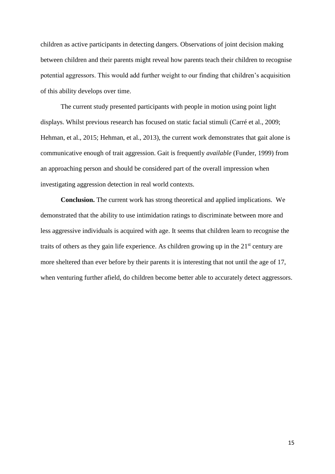children as active participants in detecting dangers. Observations of joint decision making between children and their parents might reveal how parents teach their children to recognise potential aggressors. This would add further weight to our finding that children's acquisition of this ability develops over time.

The current study presented participants with people in motion using point light displays. Whilst previous research has focused on static facial stimuli (Carré et al., 2009; Hehman, et al., 2015; Hehman, et al., 2013), the current work demonstrates that gait alone is communicative enough of trait aggression. Gait is frequently *available* (Funder, 1999) from an approaching person and should be considered part of the overall impression when investigating aggression detection in real world contexts.

**Conclusion.** The current work has strong theoretical and applied implications. We demonstrated that the ability to use intimidation ratings to discriminate between more and less aggressive individuals is acquired with age. It seems that children learn to recognise the traits of others as they gain life experience. As children growing up in the  $21<sup>st</sup>$  century are more sheltered than ever before by their parents it is interesting that not until the age of 17, when venturing further afield, do children become better able to accurately detect aggressors.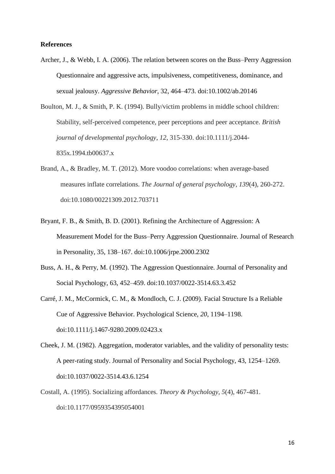### **References**

Archer, J., & Webb, I. A. (2006). The relation between scores on the Buss–Perry Aggression Questionnaire and aggressive acts, impulsiveness, competitiveness, dominance, and sexual jealousy. *Aggressive Behavior*, 32, 464–473. doi:10.1002/ab.20146

Boulton, M. J., & Smith, P. K. (1994). Bully/victim problems in middle school children: Stability, self-perceived competence, peer perceptions and peer acceptance. *British journal of developmental psychology*, *12*, 315-330. doi:10.1111/j.2044- 835x.1994.tb00637.x

- Brand, A., & Bradley, M. T. (2012). More voodoo correlations: when average-based measures inflate correlations. *The Journal of general psychology*, *139*(4), 260-272. doi:10.1080/00221309.2012.703711
- Bryant, F. B., & Smith, B. D. (2001). Refining the Architecture of Aggression: A Measurement Model for the Buss–Perry Aggression Questionnaire. Journal of Research in Personality, 35, 138–167. doi:10.1006/jrpe.2000.2302
- Buss, A. H., & Perry, M. (1992). The Aggression Questionnaire. Journal of Personality and Social Psychology, 63, 452–459. doi:10.1037/0022-3514.63.3.452
- Carré, J. M., McCormick, C. M., & Mondloch, C. J. (2009). Facial Structure Is a Reliable Cue of Aggressive Behavior. Psychological Science, *20*, 1194–1198. doi:10.1111/j.1467-9280.2009.02423.x
- Cheek, J. M. (1982). Aggregation, moderator variables, and the validity of personality tests: A peer-rating study. Journal of Personality and Social Psychology, 43, 1254–1269. doi:10.1037/0022-3514.43.6.1254
- Costall, A. (1995). Socializing affordances. *Theory & Psychology*, *5*(4), 467-481. doi:10.1177/0959354395054001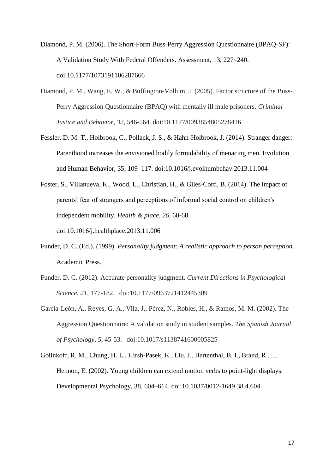Diamond, P. M. (2006). The Short-Form Buss-Perry Aggression Questionnaire (BPAQ-SF): A Validation Study With Federal Offenders. Assessment, 13, 227–240. doi:10.1177/1073191106287666

- Diamond, P. M., Wang, E. W., & Buffington-Vollum, J. (2005). Factor structure of the Buss-Perry Aggression Questionnaire (BPAQ) with mentally ill male prisoners. *Criminal Justice and Behavior*, *32*, 546-564. doi:10.1177/0093854805278416
- Fessler, D. M. T., Holbrook, C., Pollack, J. S., & Hahn-Holbrook, J. (2014). Stranger danger: Parenthood increases the envisioned bodily formidability of menacing men. Evolution and Human Behavior, 35, 109–117. doi:10.1016/j.evolhumbehav.2013.11.004
- Foster, S., Villanueva, K., Wood, L., Christian, H., & Giles-Corti, B. (2014). The impact of parents' fear of strangers and perceptions of informal social control on children's independent mobility. *Health & place*, *26*, 60-68. doi:10.1016/j.healthplace.2013.11.006
- Funder, D. C. (Ed.). (1999). *Personality judgment: A realistic approach to person perception*. Academic Press.
- Funder, D. C. (2012). Accurate personality judgment. *Current Directions in Psychological Science*, *21*, 177-182. doi:10.1177/0963721412445309
- García-León, A., Reyes, G. A., Vila, J., Pérez, N., Robles, H., & Ramos, M. M. (2002). The Aggression Questionnaire: A validation study in student samples. *The Spanish Journal of Psychology*, *5*, 45-53. doi:10.1017/s1138741600005825
- Golinkoff, R. M., Chung, H. L., Hirsh-Pasek, K., Liu, J., Bertenthal, B. I., Brand, R., … Hennon, E. (2002). Young children can extend motion verbs to point-light displays. Developmental Psychology, 38, 604–614. doi:10.1037/0012-1649.38.4.604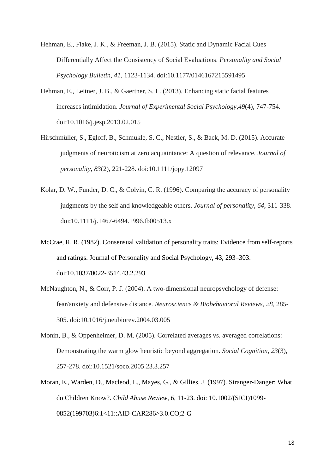- Hehman, E., Flake, J. K., & Freeman, J. B. (2015). Static and Dynamic Facial Cues Differentially Affect the Consistency of Social Evaluations. *Personality and Social Psychology Bulletin*, *41*, 1123-1134. doi:10.1177/0146167215591495
- Hehman, E., Leitner, J. B., & Gaertner, S. L. (2013). Enhancing static facial features increases intimidation. *Journal of Experimental Social Psychology*,*49*(4), 747-754. doi:10.1016/j.jesp.2013.02.015
- Hirschmüller, S., Egloff, B., Schmukle, S. C., Nestler, S., & Back, M. D. (2015). Accurate judgments of neuroticism at zero acquaintance: A question of relevance. *Journal of personality*, *83*(2), 221-228. doi:10.1111/jopy.12097
- Kolar, D. W., Funder, D. C., & Colvin, C. R. (1996). Comparing the accuracy of personality judgments by the self and knowledgeable others. *Journal of personality*, *64*, 311-338. doi:10.1111/j.1467-6494.1996.tb00513.x
- McCrae, R. R. (1982). Consensual validation of personality traits: Evidence from self-reports and ratings. Journal of Personality and Social Psychology, 43, 293–303. doi:10.1037/0022-3514.43.2.293
- McNaughton, N., & Corr, P. J. (2004). A two-dimensional neuropsychology of defense: fear/anxiety and defensive distance. *Neuroscience & Biobehavioral Reviews*, *28*, 285- 305. doi:10.1016/j.neubiorev.2004.03.005
- Monin, B., & Oppenheimer, D. M. (2005). Correlated averages vs. averaged correlations: Demonstrating the warm glow heuristic beyond aggregation. *Social Cognition*, *23*(3), 257-278. doi:10.1521/soco.2005.23.3.257
- Moran, E., Warden, D., Macleod, L., Mayes, G., & Gillies, J. (1997). Stranger‐Danger: What do Children Know?. *Child Abuse Review*, *6*, 11-23. doi: 10.1002/(SICI)1099- 0852(199703)6:1<11::AID-CAR286>3.0.CO;2-G